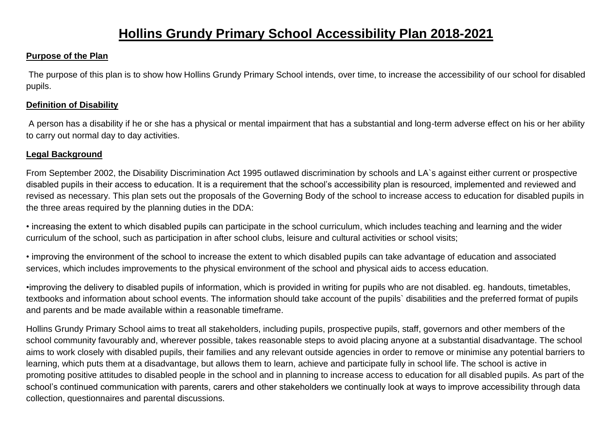## **Hollins Grundy Primary School Accessibility Plan 2018-2021**

#### **Purpose of the Plan**

The purpose of this plan is to show how Hollins Grundy Primary School intends, over time, to increase the accessibility of our school for disabled pupils.

#### **Definition of Disability**

A person has a disability if he or she has a physical or mental impairment that has a substantial and long-term adverse effect on his or her ability to carry out normal day to day activities.

### **Legal Background**

From September 2002, the Disability Discrimination Act 1995 outlawed discrimination by schools and LA`s against either current or prospective disabled pupils in their access to education. It is a requirement that the school's accessibility plan is resourced, implemented and reviewed and revised as necessary. This plan sets out the proposals of the Governing Body of the school to increase access to education for disabled pupils in the three areas required by the planning duties in the DDA:

• increasing the extent to which disabled pupils can participate in the school curriculum, which includes teaching and learning and the wider curriculum of the school, such as participation in after school clubs, leisure and cultural activities or school visits;

• improving the environment of the school to increase the extent to which disabled pupils can take advantage of education and associated services, which includes improvements to the physical environment of the school and physical aids to access education.

•improving the delivery to disabled pupils of information, which is provided in writing for pupils who are not disabled. eg. handouts, timetables, textbooks and information about school events. The information should take account of the pupils` disabilities and the preferred format of pupils and parents and be made available within a reasonable timeframe.

Hollins Grundy Primary School aims to treat all stakeholders, including pupils, prospective pupils, staff, governors and other members of the school community favourably and, wherever possible, takes reasonable steps to avoid placing anyone at a substantial disadvantage. The school aims to work closely with disabled pupils, their families and any relevant outside agencies in order to remove or minimise any potential barriers to learning, which puts them at a disadvantage, but allows them to learn, achieve and participate fully in school life. The school is active in promoting positive attitudes to disabled people in the school and in planning to increase access to education for all disabled pupils. As part of the school's continued communication with parents, carers and other stakeholders we continually look at ways to improve accessibility through data collection, questionnaires and parental discussions.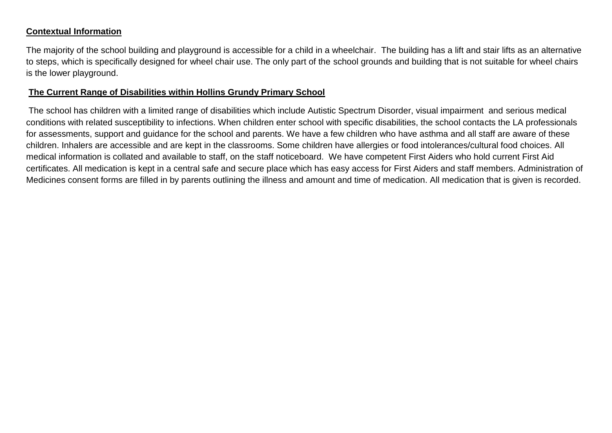#### **Contextual Information**

The majority of the school building and playground is accessible for a child in a wheelchair. The building has a lift and stair lifts as an alternative to steps, which is specifically designed for wheel chair use. The only part of the school grounds and building that is not suitable for wheel chairs is the lower playground.

#### **The Current Range of Disabilities within Hollins Grundy Primary School**

The school has children with a limited range of disabilities which include Autistic Spectrum Disorder, visual impairment and serious medical conditions with related susceptibility to infections. When children enter school with specific disabilities, the school contacts the LA professionals for assessments, support and guidance for the school and parents. We have a few children who have asthma and all staff are aware of these children. Inhalers are accessible and are kept in the classrooms. Some children have allergies or food intolerances/cultural food choices. All medical information is collated and available to staff, on the staff noticeboard. We have competent First Aiders who hold current First Aid certificates. All medication is kept in a central safe and secure place which has easy access for First Aiders and staff members. Administration of Medicines consent forms are filled in by parents outlining the illness and amount and time of medication. All medication that is given is recorded.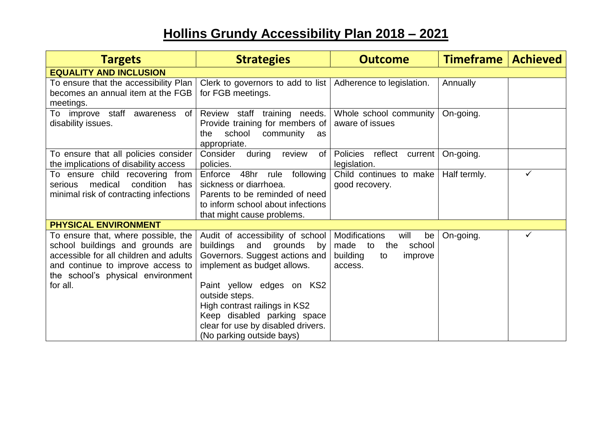# **Hollins Grundy Accessibility Plan 2018 – 2021**

| <b>Targets</b>                                                                                                                                                                                          | <b>Strategies</b>                                                                                                                                                                                                                                                                                                                                     | <b>Outcome</b>                                                                    | Timeframe    | <b>Achieved</b> |  |  |
|---------------------------------------------------------------------------------------------------------------------------------------------------------------------------------------------------------|-------------------------------------------------------------------------------------------------------------------------------------------------------------------------------------------------------------------------------------------------------------------------------------------------------------------------------------------------------|-----------------------------------------------------------------------------------|--------------|-----------------|--|--|
| <b>EQUALITY AND INCLUSION</b>                                                                                                                                                                           |                                                                                                                                                                                                                                                                                                                                                       |                                                                                   |              |                 |  |  |
| To ensure that the accessibility Plan<br>becomes an annual item at the FGB<br>meetings.                                                                                                                 | Clerk to governors to add to list   Adherence to legislation.<br>for FGB meetings.                                                                                                                                                                                                                                                                    |                                                                                   | Annually     |                 |  |  |
| To improve staff<br>awareness<br>of<br>disability issues.                                                                                                                                               | Review staff training needs.<br>Provide training for members of<br>school<br>community<br>the<br>as<br>appropriate.                                                                                                                                                                                                                                   | Whole school community<br>aware of issues                                         | On-going.    |                 |  |  |
| To ensure that all policies consider<br>the implications of disability access                                                                                                                           | Consider<br>during<br>review<br>of l<br>policies.                                                                                                                                                                                                                                                                                                     | Policies reflect current<br>legislation.                                          | On-going.    |                 |  |  |
| To ensure child recovering<br>from<br>medical<br>condition<br>has<br>serious<br>minimal risk of contracting infections                                                                                  | 48hr rule<br>Enforce<br>following<br>sickness or diarrhoea.<br>Parents to be reminded of need<br>to inform school about infections<br>that might cause problems.                                                                                                                                                                                      | Child continues to make<br>good recovery.                                         | Half termly. | ✓               |  |  |
| <b>PHYSICAL ENVIRONMENT</b>                                                                                                                                                                             |                                                                                                                                                                                                                                                                                                                                                       |                                                                                   |              |                 |  |  |
| To ensure that, where possible, the<br>school buildings and grounds are<br>accessible for all children and adults<br>and continue to improve access to<br>the school's physical environment<br>for all. | Audit of accessibility of school   Modifications<br>buildings<br>and<br>grounds<br>by <sub>1</sub><br>Governors. Suggest actions and<br>implement as budget allows.<br>Paint yellow edges on KS2<br>outside steps.<br>High contrast railings in KS2<br>Keep disabled parking space<br>clear for use by disabled drivers.<br>(No parking outside bays) | will<br>be<br>made<br>the<br>school<br>to<br>building<br>improve<br>to<br>access. | On-going.    | ✓               |  |  |